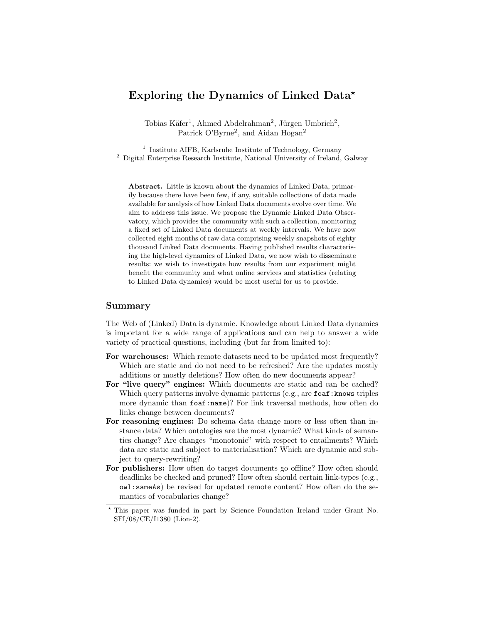## Exploring the Dynamics of Linked Data\*

Tobias Käfer<sup>1</sup>, Ahmed Abdelrahman<sup>2</sup>, Jürgen Umbrich<sup>2</sup>, Patrick O'Byrne<sup>2</sup>, and Aidan Hogan<sup>2</sup>

<sup>1</sup> Institute AIFB, Karlsruhe Institute of Technology, Germany <sup>2</sup> Digital Enterprise Research Institute, National University of Ireland, Galway

Abstract. Little is known about the dynamics of Linked Data, primarily because there have been few, if any, suitable collections of data made available for analysis of how Linked Data documents evolve over time. We aim to address this issue. We propose the Dynamic Linked Data Observatory, which provides the community with such a collection, monitoring a fixed set of Linked Data documents at weekly intervals. We have now collected eight months of raw data comprising weekly snapshots of eighty thousand Linked Data documents. Having published results characterising the high-level dynamics of Linked Data, we now wish to disseminate results: we wish to investigate how results from our experiment might benefit the community and what online services and statistics (relating to Linked Data dynamics) would be most useful for us to provide.

## Summary

The Web of (Linked) Data is dynamic. Knowledge about Linked Data dynamics is important for a wide range of applications and can help to answer a wide variety of practical questions, including (but far from limited to):

- For warehouses: Which remote datasets need to be updated most frequently? Which are static and do not need to be refreshed? Are the updates mostly additions or mostly deletions? How often do new documents appear?
- For "live query" engines: Which documents are static and can be cached? Which query patterns involve dynamic patterns (e.g., are foaf: knows triples more dynamic than foaf:name)? For link traversal methods, how often do links change between documents?
- For reasoning engines: Do schema data change more or less often than instance data? Which ontologies are the most dynamic? What kinds of semantics change? Are changes "monotonic" with respect to entailments? Which data are static and subject to materialisation? Which are dynamic and subject to query-rewriting?
- For publishers: How often do target documents go offline? How often should deadlinks be checked and pruned? How often should certain link-types (e.g., owl:sameAs) be revised for updated remote content? How often do the semantics of vocabularies change?

<sup>?</sup> This paper was funded in part by Science Foundation Ireland under Grant No. SFI/08/CE/I1380 (Lion-2).